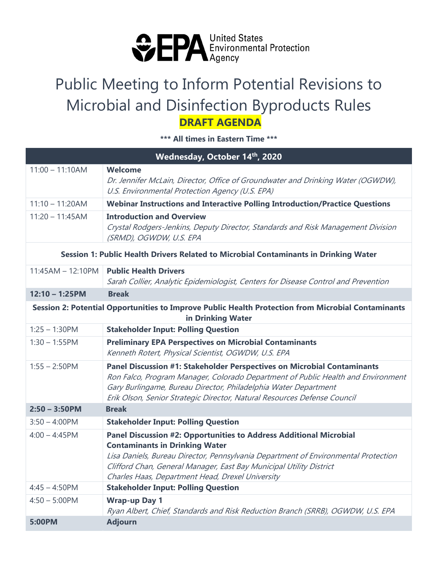

## Public Meeting to Inform Potential Revisions to Microbial and Disinfection Byproducts Rules  **DRAFT AGENDA**

**\*\*\* All times in Eastern Time \*\*\*** 

| Wednesday, October 14 <sup>th</sup> , 2020                                                                              |                                                                                                                                                                                                                                                                                                                              |
|-------------------------------------------------------------------------------------------------------------------------|------------------------------------------------------------------------------------------------------------------------------------------------------------------------------------------------------------------------------------------------------------------------------------------------------------------------------|
| $11:00 - 11:10AM$                                                                                                       | <b>Welcome</b><br>Dr. Jennifer McLain, Director, Office of Groundwater and Drinking Water (OGWDW),<br>U.S. Environmental Protection Agency (U.S. EPA)                                                                                                                                                                        |
| $11:10 - 11:20AM$                                                                                                       | <b>Webinar Instructions and Interactive Polling Introduction/Practice Questions</b>                                                                                                                                                                                                                                          |
| $11:20 - 11:45AM$                                                                                                       | <b>Introduction and Overview</b><br>Crystal Rodgers-Jenkins, Deputy Director, Standards and Risk Management Division<br>(SRMD), OGWDW, U.S. EPA                                                                                                                                                                              |
| Session 1: Public Health Drivers Related to Microbial Contaminants in Drinking Water                                    |                                                                                                                                                                                                                                                                                                                              |
| $11:45AM - 12:10PM$                                                                                                     | <b>Public Health Drivers</b><br>Sarah Collier, Analytic Epidemiologist, Centers for Disease Control and Prevention                                                                                                                                                                                                           |
| $12:10 - 1:25PM$                                                                                                        | <b>Break</b>                                                                                                                                                                                                                                                                                                                 |
| Session 2: Potential Opportunities to Improve Public Health Protection from Microbial Contaminants<br>in Drinking Water |                                                                                                                                                                                                                                                                                                                              |
| $1:25 - 1:30$ PM                                                                                                        | <b>Stakeholder Input: Polling Question</b>                                                                                                                                                                                                                                                                                   |
| $1:30 - 1:55$ PM                                                                                                        | <b>Preliminary EPA Perspectives on Microbial Contaminants</b><br>Kenneth Rotert, Physical Scientist, OGWDW, U.S. EPA                                                                                                                                                                                                         |
| $1:55 - 2:50$ PM                                                                                                        | Panel Discussion #1: Stakeholder Perspectives on Microbial Contaminants<br>Ron Falco, Program Manager, Colorado Department of Public Health and Environment<br>Gary Burlingame, Bureau Director, Philadelphia Water Department<br>Erik Olson, Senior Strategic Director, Natural Resources Defense Council                   |
| <b>Break</b><br>$2:50 - 3:50$ PM                                                                                        |                                                                                                                                                                                                                                                                                                                              |
| $3:50 - 4:00$ PM                                                                                                        | <b>Stakeholder Input: Polling Question</b>                                                                                                                                                                                                                                                                                   |
| $4:00 - 4:45$ PM                                                                                                        | Panel Discussion #2: Opportunities to Address Additional Microbial<br><b>Contaminants in Drinking Water</b><br>Lisa Daniels, Bureau Director, Pennsylvania Department of Environmental Protection<br>Clifford Chan, General Manager, East Bay Municipal Utility District<br>Charles Haas, Department Head, Drexel University |
| $4:45 - 4:50$ PM                                                                                                        | <b>Stakeholder Input: Polling Question</b>                                                                                                                                                                                                                                                                                   |
| $4:50 - 5:00$ PM                                                                                                        | <b>Wrap-up Day 1</b><br>Ryan Albert, Chief, Standards and Risk Reduction Branch (SRRB), OGWDW, U.S. EPA                                                                                                                                                                                                                      |
| 5:00PM                                                                                                                  | <b>Adjourn</b>                                                                                                                                                                                                                                                                                                               |